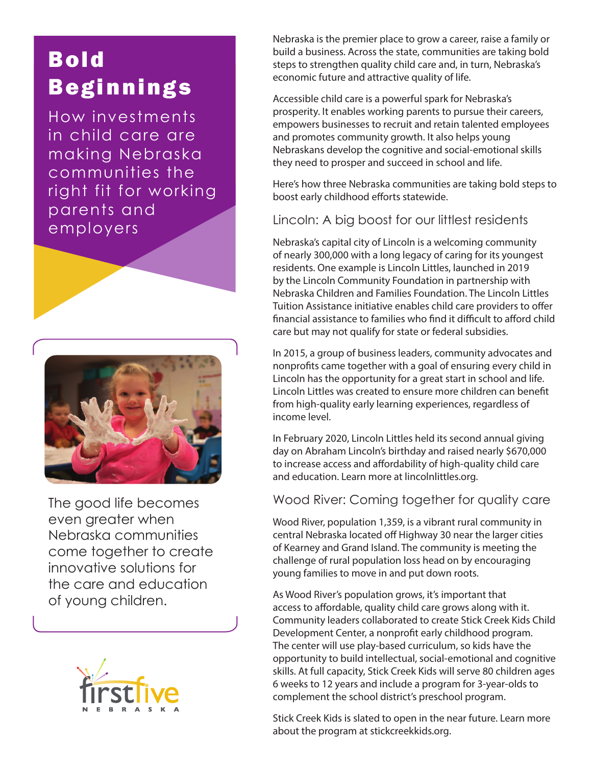# Bold Beginnings

How investments in child care are making Nebraska communities the right fit for working parents and employers



The good life becomes even greater when Nebraska communities come together to create innovative solutions for the care and education of young children.



Nebraska is the premier place to grow a career, raise a family or build a business. Across the state, communities are taking bold steps to strengthen quality child care and, in turn, Nebraska's economic future and attractive quality of life.

Accessible child care is a powerful spark for Nebraska's prosperity. It enables working parents to pursue their careers, empowers businesses to recruit and retain talented employees and promotes community growth. It also helps young Nebraskans develop the cognitive and social-emotional skills they need to prosper and succeed in school and life.

Here's how three Nebraska communities are taking bold steps to boost early childhood efforts statewide.

### Lincoln: A big boost for our littlest residents

Nebraska's capital city of Lincoln is a welcoming community of nearly 300,000 with a long legacy of caring for its youngest residents. One example is Lincoln Littles, launched in 2019 by the Lincoln Community Foundation in partnership with Nebraska Children and Families Foundation. The Lincoln Littles Tuition Assistance initiative enables child care providers to offer financial assistance to families who find it difficult to afford child care but may not qualify for state or federal subsidies.

In 2015, a group of business leaders, community advocates and nonprofits came together with a goal of ensuring every child in Lincoln has the opportunity for a great start in school and life. Lincoln Littles was created to ensure more children can benefit from high-quality early learning experiences, regardless of income level.

In February 2020, Lincoln Littles held its second annual giving day on Abraham Lincoln's birthday and raised nearly \$670,000 to increase access and affordability of high-quality child care and education. Learn more at [lincolnlittles.org.](https://lincolnlittles.org)

#### Wood River: Coming together for quality care

Wood River, population 1,359, is a vibrant rural community in central Nebraska located off Highway 30 near the larger cities of Kearney and Grand Island. The community is meeting the challenge of rural population loss head on by encouraging young families to move in and put down roots.

As Wood River's population grows, it's important that access to affordable, quality child care grows along with it. Community leaders collaborated to create Stick Creek Kids Child Development Center, a nonprofit early childhood program. The center will use play-based curriculum, so kids have the opportunity to build intellectual, social-emotional and cognitive skills. At full capacity, Stick Creek Kids will serve 80 children ages 6 weeks to 12 years and include a program for 3-year-olds to complement the school district's preschool program.

Stick Creek Kids is slated to open in the near future. Learn more about the program at [stickcreekkids.org.](http://stickcreekkids.org)